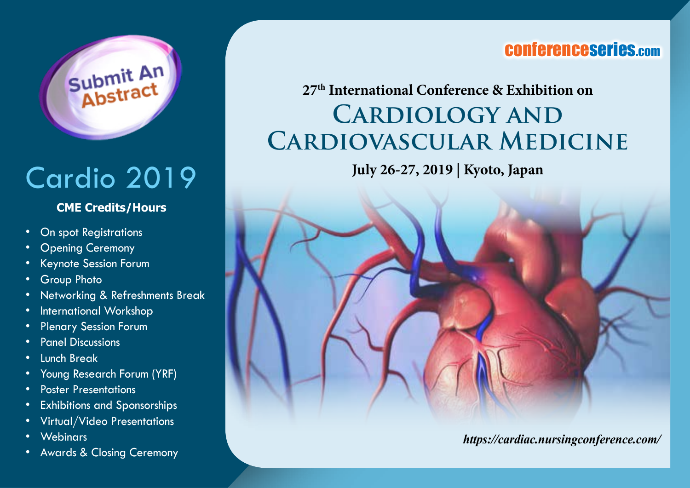

# Cardio 2019

#### **CME Credits/Hours**

- On spot Registrations
- **Opening Ceremony**
- Keynote Session Forum
- **Group Photo**
- Networking & Refreshments Break
- International Workshop
- Plenary Session Forum
- Panel Discussions
- Lunch Break
- Young Research Forum (YRF)
- Poster Presentations
- Exhibitions and Sponsorships
- Virtual/Video Presentations
- Webinars
- Awards & Closing Ceremony

### conferenceseries.com

## **27th International Conference & Exhibition on Cardiology and Cardiovascular Medicine**

**July 26-27, 2019 | Kyoto, Japan**



*https://cardiac.nursingconference.com/*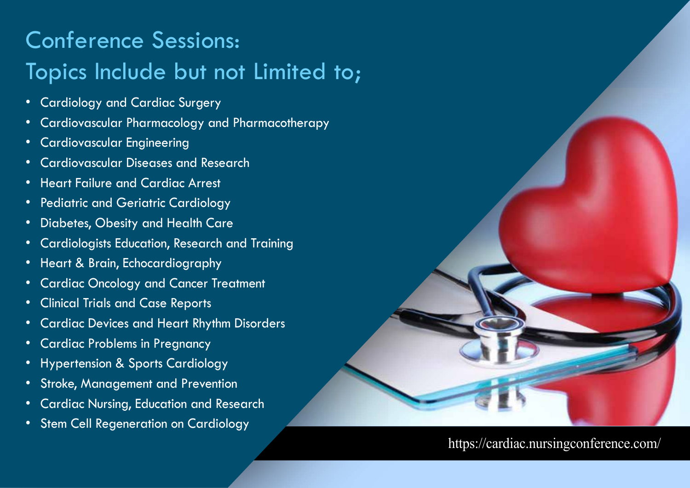## Conference Sessions: Topics Include but not Limited to;

- Cardiology and Cardiac Surgery
- Cardiovascular Pharmacology and Pharmacotherapy
- Cardiovascular Engineering
- Cardiovascular Diseases and Research
- Heart Failure and Cardiac Arrest
- Pediatric and Geriatric Cardiology
- Diabetes, Obesity and Health Care
- Cardiologists Education, Research and Training
- Heart & Brain, Echocardiography
- Cardiac Oncology and Cancer Treatment
- Clinical Trials and Case Reports
- Cardiac Devices and Heart Rhythm Disorders
- Cardiac Problems in Pregnancy
- Hypertension & Sports Cardiology
- Stroke, Management and Prevention
- Cardiac Nursing, Education and Research
- Stem Cell Regeneration on Cardiology

#### https://cardiac.nursingconference.com/